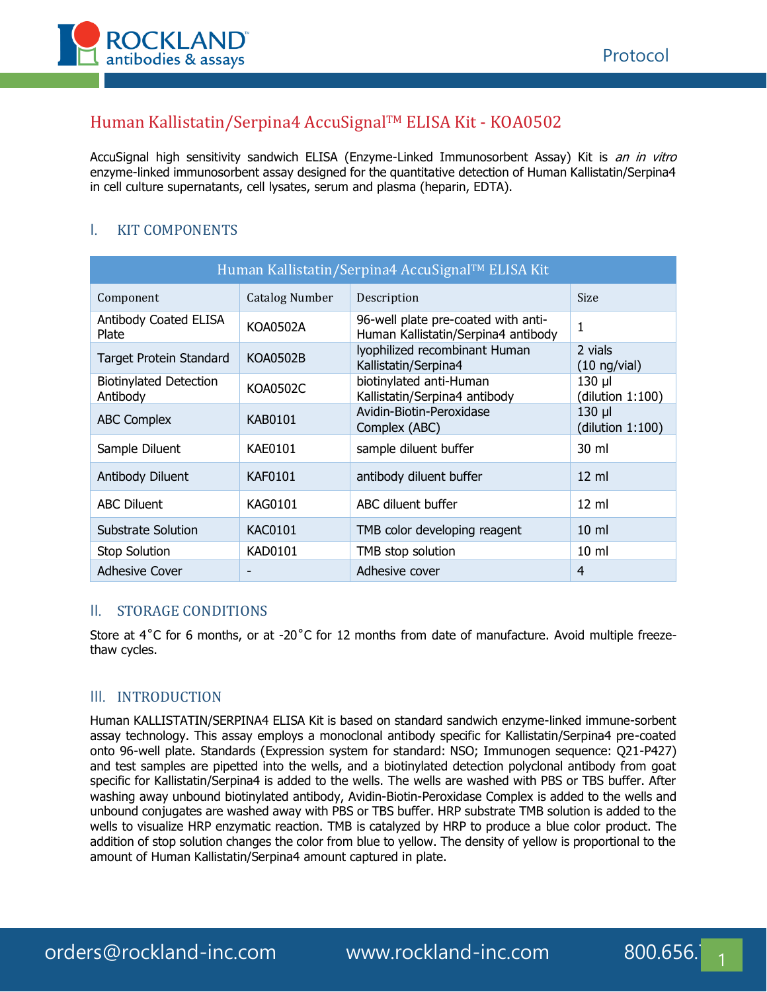

# Human Kallistatin/Serpina4 AccuSignalTM ELISA Kit - KOA0502

AccuSignal high sensitivity sandwich ELISA (Enzyme-Linked Immunosorbent Assay) Kit is an in vitro enzyme-linked immunosorbent assay designed for the quantitative detection of Human Kallistatin/Serpina4 in cell culture supernatants, cell lysates, serum and plasma (heparin, EDTA).

# I. KIT COMPONENTS

| Human Kallistatin/Serpina4 AccuSignal™ ELISA Kit |                       |                                                                            |                                 |  |
|--------------------------------------------------|-----------------------|----------------------------------------------------------------------------|---------------------------------|--|
| Component                                        | <b>Catalog Number</b> | Description                                                                | <b>Size</b>                     |  |
| Antibody Coated ELISA<br>Plate                   | <b>KOA0502A</b>       | 96-well plate pre-coated with anti-<br>Human Kallistatin/Serpina4 antibody | $\mathbf{1}$                    |  |
| Target Protein Standard                          | <b>KOA0502B</b>       | lyophilized recombinant Human<br>Kallistatin/Serpina4                      | 2 vials<br>$(10 \nmid y$ /vial) |  |
| <b>Biotinylated Detection</b><br>Antibody        | KOA0502C              | biotinylated anti-Human<br>Kallistatin/Serpina4 antibody                   | $130$ µl<br>(dilution 1:100)    |  |
| <b>ABC Complex</b>                               | KAB0101               | Avidin-Biotin-Peroxidase<br>Complex (ABC)                                  | $130$ µl<br>(dilution 1:100)    |  |
| Sample Diluent                                   | KAE0101               | sample diluent buffer                                                      | 30 ml                           |  |
| Antibody Diluent                                 | <b>KAF0101</b>        | antibody diluent buffer                                                    | $12 \text{ ml}$                 |  |
| <b>ABC Diluent</b>                               | <b>KAG0101</b>        | ABC diluent buffer                                                         | $12 \text{ ml}$                 |  |
| Substrate Solution                               | <b>KAC0101</b>        | TMB color developing reagent                                               | $10 \mathrm{m}$                 |  |
| <b>Stop Solution</b>                             | KAD0101               | TMB stop solution                                                          | 10 <sub>m</sub>                 |  |
| <b>Adhesive Cover</b>                            |                       | Adhesive cover                                                             | $\overline{4}$                  |  |

## II. STORAGE CONDITIONS

Store at 4<sup>°</sup>C for 6 months, or at -20<sup>°</sup>C for 12 months from date of manufacture. Avoid multiple freezethaw cycles.

#### III. INTRODUCTION

Human KALLISTATIN/SERPINA4 ELISA Kit is based on standard sandwich enzyme-linked immune-sorbent assay technology. This assay employs a monoclonal antibody specific for Kallistatin/Serpina4 pre-coated onto 96-well plate. Standards (Expression system for standard: NSO; Immunogen sequence: Q21-P427) and test samples are pipetted into the wells, and a biotinylated detection polyclonal antibody from goat specific for Kallistatin/Serpina4 is added to the wells. The wells are washed with PBS or TBS buffer. After washing away unbound biotinylated antibody, Avidin-Biotin-Peroxidase Complex is added to the wells and unbound conjugates are washed away with PBS or TBS buffer. HRP substrate TMB solution is added to the wells to visualize HRP enzymatic reaction. TMB is catalyzed by HRP to produce a blue color product. The addition of stop solution changes the color from blue to yellow. The density of yellow is proportional to the amount of Human Kallistatin/Serpina4 amount captured in plate.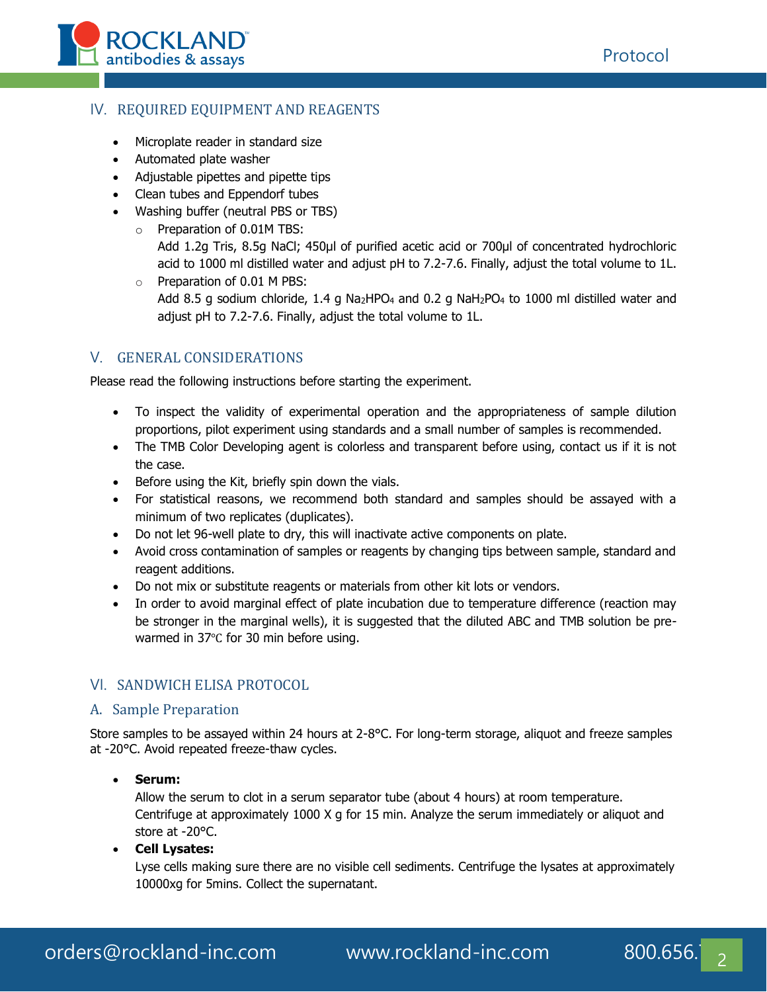

## IV. REQUIRED EQUIPMENT AND REAGENTS

- Microplate reader in standard size
- Automated plate washer
- Adjustable pipettes and pipette tips
- Clean tubes and Eppendorf tubes
- Washing buffer (neutral PBS or TBS)
	- o Preparation of 0.01M TBS:
		- Add 1.2g Tris, 8.5g NaCl; 450μl of purified acetic acid or 700μl of concentrated hydrochloric acid to 1000 ml distilled water and adjust pH to 7.2-7.6. Finally, adjust the total volume to 1L.
	- o Preparation of 0.01 M PBS: Add 8.5 g sodium chloride, 1.4 g Na<sub>2</sub>HPO<sub>4</sub> and 0.2 g NaH<sub>2</sub>PO<sub>4</sub> to 1000 ml distilled water and adjust pH to 7.2-7.6. Finally, adjust the total volume to 1L.

## V. GENERAL CONSIDERATIONS

Please read the following instructions before starting the experiment.

- To inspect the validity of experimental operation and the appropriateness of sample dilution proportions, pilot experiment using standards and a small number of samples is recommended.
- The TMB Color Developing agent is colorless and transparent before using, contact us if it is not the case.
- Before using the Kit, briefly spin down the vials.
- For statistical reasons, we recommend both standard and samples should be assayed with a minimum of two replicates (duplicates).
- Do not let 96-well plate to dry, this will inactivate active components on plate.
- Avoid cross contamination of samples or reagents by changing tips between sample, standard and reagent additions.
- Do not mix or substitute reagents or materials from other kit lots or vendors.
- In order to avoid marginal effect of plate incubation due to temperature difference (reaction may be stronger in the marginal wells), it is suggested that the diluted ABC and TMB solution be prewarmed in 37℃ for 30 min before using.

## VI. SANDWICH ELISA PROTOCOL

#### A. Sample Preparation

Store samples to be assayed within 24 hours at 2-8°C. For long-term storage, aliquot and freeze samples at -20°C. Avoid repeated freeze-thaw cycles.

• **Serum:**

Allow the serum to clot in a serum separator tube (about 4 hours) at room temperature. Centrifuge at approximately 1000 X g for 15 min. Analyze the serum immediately or aliquot and store at -20°C.

#### • **Cell Lysates:**

Lyse cells making sure there are no visible cell sediments. Centrifuge the lysates at approximately 10000xg for 5mins. Collect the supernatant.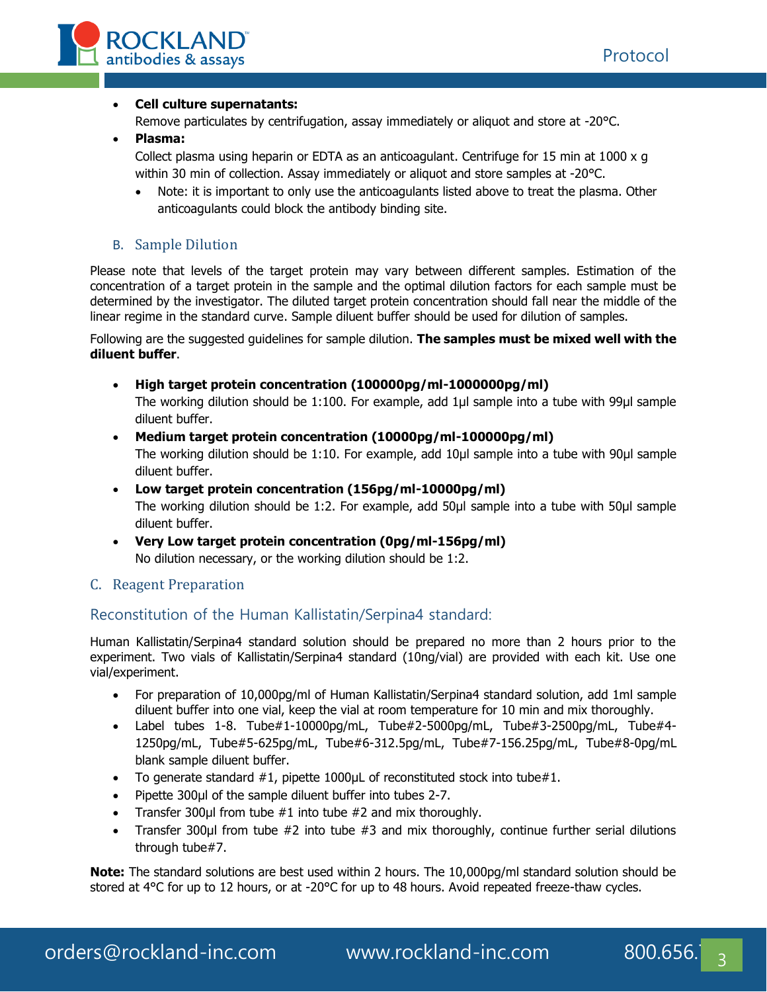

#### • **Cell culture supernatants:**

Remove particulates by centrifugation, assay immediately or aliquot and store at -20°C.

• **Plasma:**

Collect plasma using heparin or EDTA as an anticoagulant. Centrifuge for 15 min at 1000 x g within 30 min of collection. Assay immediately or aliquot and store samples at -20°C.

• Note: it is important to only use the anticoagulants listed above to treat the plasma. Other anticoagulants could block the antibody binding site.

### B. Sample Dilution

Please note that levels of the target protein may vary between different samples. Estimation of the concentration of a target protein in the sample and the optimal dilution factors for each sample must be determined by the investigator. The diluted target protein concentration should fall near the middle of the linear regime in the standard curve. Sample diluent buffer should be used for dilution of samples.

Following are the suggested guidelines for sample dilution. **The samples must be mixed well with the diluent buffer**.

• **High target protein concentration (100000pg/ml-1000000pg/ml)**

The working dilution should be 1:100. For example, add 1μl sample into a tube with 99μl sample diluent buffer.

- **Medium target protein concentration (10000pg/ml-100000pg/ml)** The working dilution should be 1:10. For example, add 10μl sample into a tube with 90μl sample diluent buffer.
- **Low target protein concentration (156pg/ml-10000pg/ml)** The working dilution should be 1:2. For example, add 50μl sample into a tube with 50μl sample diluent buffer.
- **Very Low target protein concentration (0pg/ml-156pg/ml)** No dilution necessary, or the working dilution should be 1:2.

## C. Reagent Preparation

## Reconstitution of the Human Kallistatin/Serpina4 standard:

Human Kallistatin/Serpina4 standard solution should be prepared no more than 2 hours prior to the experiment. Two vials of Kallistatin/Serpina4 standard (10ng/vial) are provided with each kit. Use one vial/experiment.

- For preparation of 10,000pg/ml of Human Kallistatin/Serpina4 standard solution, add 1ml sample diluent buffer into one vial, keep the vial at room temperature for 10 min and mix thoroughly.
- Label tubes 1-8. Tube#1-10000pg/mL, Tube#2-5000pg/mL, Tube#3-2500pg/mL, Tube#4- 1250pg/mL, Tube#5-625pg/mL, Tube#6-312.5pg/mL, Tube#7-156.25pg/mL, Tube#8-0pg/mL blank sample diluent buffer.
- To generate standard #1, pipette 1000µL of reconstituted stock into tube#1.
- Pipette 300ul of the sample diluent buffer into tubes 2-7.
- Transfer 300 $\mu$ I from tube  $\#1$  into tube  $\#2$  and mix thoroughly.
- Transfer 300 $\mu$ I from tube #2 into tube #3 and mix thoroughly, continue further serial dilutions through tube#7.

**Note:** The standard solutions are best used within 2 hours. The 10,000pg/ml standard solution should be stored at 4°C for up to 12 hours, or at -20°C for up to 48 hours. Avoid repeated freeze-thaw cycles.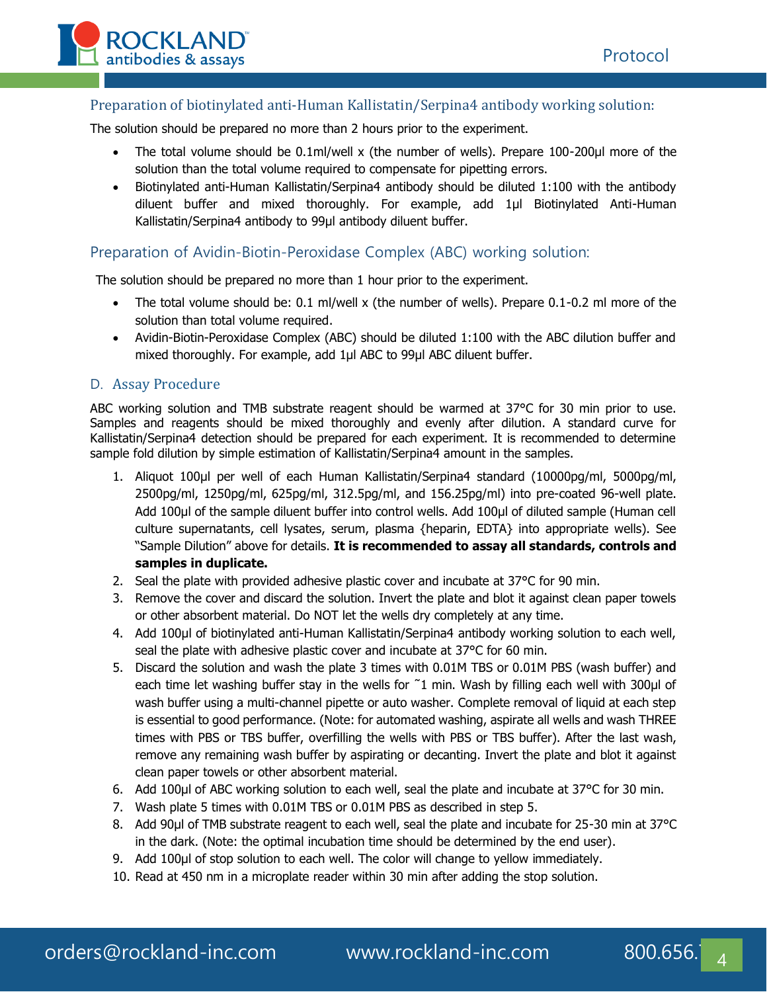

## Preparation of biotinylated anti-Human Kallistatin/Serpina4 antibody working solution:

The solution should be prepared no more than 2 hours prior to the experiment.

- The total volume should be 0.1ml/well x (the number of wells). Prepare 100-200μl more of the solution than the total volume required to compensate for pipetting errors.
- Biotinylated anti-Human Kallistatin/Serpina4 antibody should be diluted 1:100 with the antibody diluent buffer and mixed thoroughly. For example, add 1μl Biotinylated Anti-Human Kallistatin/Serpina4 antibody to 99μl antibody diluent buffer.

### Preparation of Avidin-Biotin-Peroxidase Complex (ABC) working solution:

The solution should be prepared no more than 1 hour prior to the experiment.

- The total volume should be: 0.1 ml/well x (the number of wells). Prepare 0.1-0.2 ml more of the solution than total volume required.
- Avidin-Biotin-Peroxidase Complex (ABC) should be diluted 1:100 with the ABC dilution buffer and mixed thoroughly. For example, add 1μl ABC to 99μl ABC diluent buffer.

#### D. Assay Procedure

ABC working solution and TMB substrate reagent should be warmed at 37°C for 30 min prior to use. Samples and reagents should be mixed thoroughly and evenly after dilution. A standard curve for Kallistatin/Serpina4 detection should be prepared for each experiment. It is recommended to determine sample fold dilution by simple estimation of Kallistatin/Serpina4 amount in the samples.

- 1. Aliquot 100μl per well of each Human Kallistatin/Serpina4 standard (10000pg/ml, 5000pg/ml, 2500pg/ml, 1250pg/ml, 625pg/ml, 312.5pg/ml, and 156.25pg/ml) into pre-coated 96-well plate. Add 100μl of the sample diluent buffer into control wells. Add 100μl of diluted sample (Human cell culture supernatants, cell lysates, serum, plasma {heparin, EDTA} into appropriate wells). See "Sample Dilution" above for details. **It is recommended to assay all standards, controls and samples in duplicate.**
- 2. Seal the plate with provided adhesive plastic cover and incubate at 37°C for 90 min.
- 3. Remove the cover and discard the solution. Invert the plate and blot it against clean paper towels or other absorbent material. Do NOT let the wells dry completely at any time.
- 4. Add 100μl of biotinylated anti-Human Kallistatin/Serpina4 antibody working solution to each well, seal the plate with adhesive plastic cover and incubate at 37°C for 60 min.
- 5. Discard the solution and wash the plate 3 times with 0.01M TBS or 0.01M PBS (wash buffer) and each time let washing buffer stay in the wells for ~1 min. Wash by filling each well with 300µl of wash buffer using a multi-channel pipette or auto washer. Complete removal of liquid at each step is essential to good performance. (Note: for automated washing, aspirate all wells and wash THREE times with PBS or TBS buffer, overfilling the wells with PBS or TBS buffer). After the last wash, remove any remaining wash buffer by aspirating or decanting. Invert the plate and blot it against clean paper towels or other absorbent material.
- 6. Add 100μl of ABC working solution to each well, seal the plate and incubate at 37°C for 30 min.
- 7. Wash plate 5 times with 0.01M TBS or 0.01M PBS as described in step 5.
- 8. Add 90µl of TMB substrate reagent to each well, seal the plate and incubate for 25-30 min at 37°C in the dark. (Note: the optimal incubation time should be determined by the end user).
- 9. Add 100μl of stop solution to each well. The color will change to yellow immediately.
- 10. Read at 450 nm in a microplate reader within 30 min after adding the stop solution.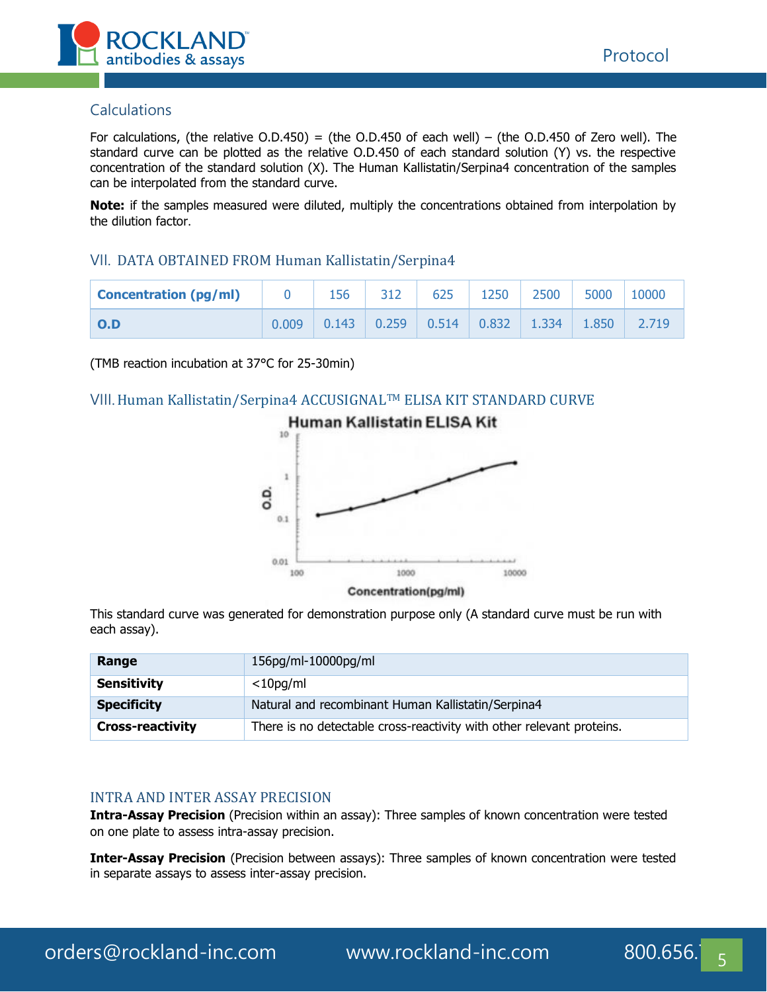

### **Calculations**

For calculations, (the relative O.D.450) = (the O.D.450 of each well) – (the O.D.450 of Zero well). The standard curve can be plotted as the relative O.D.450 of each standard solution (Y) vs. the respective concentration of the standard solution (X). The Human Kallistatin/Serpina4 concentration of the samples can be interpolated from the standard curve.

**Note:** if the samples measured were diluted, multiply the concentrations obtained from interpolation by the dilution factor.

#### VII. DATA OBTAINED FROM Human Kallistatin/Serpina4

| <b>Concentration (pg/ml)</b> |       | 156   | 312 | 625                                                                                | 1250 | 2500  | 5000  | 10000 |
|------------------------------|-------|-------|-----|------------------------------------------------------------------------------------|------|-------|-------|-------|
| $\overline{O}$ .D            | 0.009 | 0.143 |     | $\begin{array}{ c c c c c c c c } \hline 0.259 & 0.514 & 0.832 \hline \end{array}$ |      | 1.334 | 1.850 | 2.719 |

(TMB reaction incubation at 37°C for 25-30min)

#### VIII.Human Kallistatin/Serpina4 ACCUSIGNALTM ELISA KIT STANDARD CURVE



This standard curve was generated for demonstration purpose only (A standard curve must be run with each assay).

| Range                   | 156pg/ml-10000pg/ml                                                   |
|-------------------------|-----------------------------------------------------------------------|
| <b>Sensitivity</b>      | $<$ 10pg/ml                                                           |
| <b>Specificity</b>      | Natural and recombinant Human Kallistatin/Serpina4                    |
| <b>Cross-reactivity</b> | There is no detectable cross-reactivity with other relevant proteins. |

#### INTRA AND INTER ASSAY PRECISION

**Intra-Assay Precision** (Precision within an assay): Three samples of known concentration were tested on one plate to assess intra-assay precision.

**Inter-Assay Precision** (Precision between assays): Three samples of known concentration were tested in separate assays to assess inter-assay precision.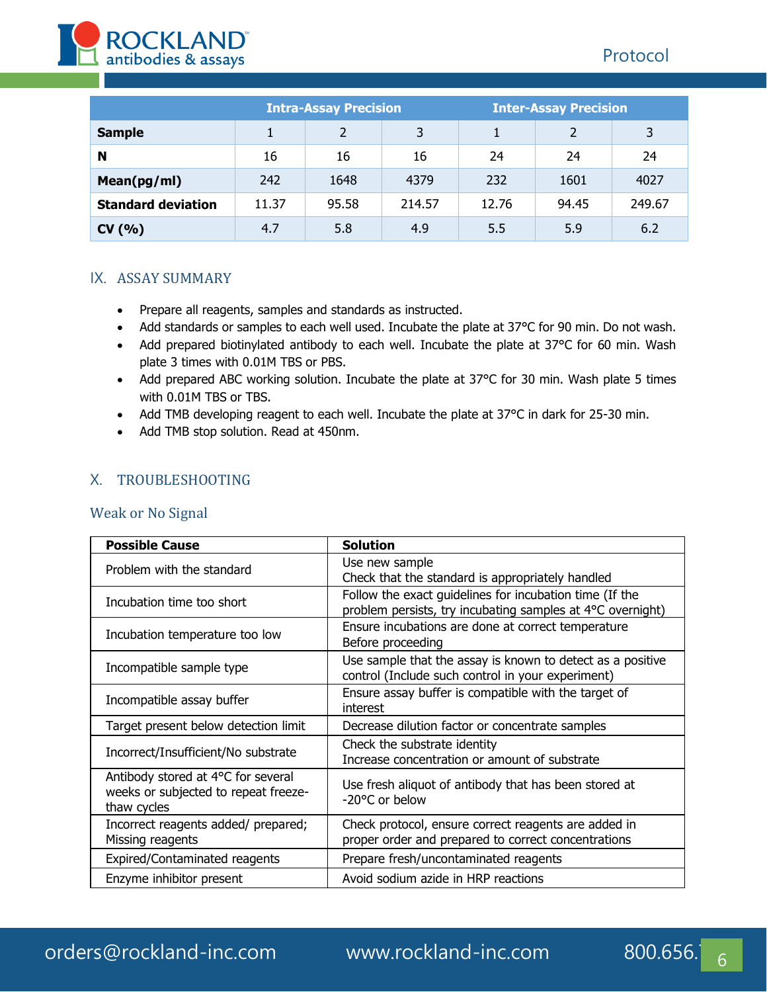

|                           | <b>Intra-Assay Precision</b> |       |        | <b>Inter-Assay Precision</b> |       |        |
|---------------------------|------------------------------|-------|--------|------------------------------|-------|--------|
| <b>Sample</b>             |                              |       | 3      |                              |       | 3      |
| N                         | 16                           | 16    | 16     | 24                           | 24    | 24     |
| Mean(pg/ml)               | 242                          | 1648  | 4379   | 232                          | 1601  | 4027   |
| <b>Standard deviation</b> | 11.37                        | 95.58 | 214.57 | 12.76                        | 94.45 | 249.67 |
| CV(% )                    | 4.7                          | 5.8   | 4.9    | 5.5                          | 5.9   | 6.2    |

### IX. ASSAY SUMMARY

- Prepare all reagents, samples and standards as instructed.
- Add standards or samples to each well used. Incubate the plate at 37°C for 90 min. Do not wash.
- Add prepared biotinylated antibody to each well. Incubate the plate at 37°C for 60 min. Wash plate 3 times with 0.01M TBS or PBS.
- Add prepared ABC working solution. Incubate the plate at 37°C for 30 min. Wash plate 5 times with 0.01M TBS or TBS.
- Add TMB developing reagent to each well. Incubate the plate at 37°C in dark for 25-30 min.
- Add TMB stop solution. Read at 450nm.

## X. TROUBLESHOOTING

#### Weak or No Signal

| <b>Possible Cause</b>                                                                     | <b>Solution</b>                                                                                                       |  |  |
|-------------------------------------------------------------------------------------------|-----------------------------------------------------------------------------------------------------------------------|--|--|
| Problem with the standard                                                                 | Use new sample<br>Check that the standard is appropriately handled                                                    |  |  |
| Incubation time too short                                                                 | Follow the exact guidelines for incubation time (If the<br>problem persists, try incubating samples at 4°C overnight) |  |  |
| Incubation temperature too low                                                            | Ensure incubations are done at correct temperature<br>Before proceeding                                               |  |  |
| Incompatible sample type                                                                  | Use sample that the assay is known to detect as a positive<br>control (Include such control in your experiment)       |  |  |
| Incompatible assay buffer                                                                 | Ensure assay buffer is compatible with the target of<br>interest                                                      |  |  |
| Target present below detection limit                                                      | Decrease dilution factor or concentrate samples                                                                       |  |  |
| Incorrect/Insufficient/No substrate                                                       | Check the substrate identity<br>Increase concentration or amount of substrate                                         |  |  |
| Antibody stored at 4°C for several<br>weeks or subjected to repeat freeze-<br>thaw cycles | Use fresh aliquot of antibody that has been stored at<br>-20°C or below                                               |  |  |
| Incorrect reagents added/ prepared;<br>Missing reagents                                   | Check protocol, ensure correct reagents are added in<br>proper order and prepared to correct concentrations           |  |  |
| Expired/Contaminated reagents                                                             | Prepare fresh/uncontaminated reagents                                                                                 |  |  |
| Enzyme inhibitor present                                                                  | Avoid sodium azide in HRP reactions                                                                                   |  |  |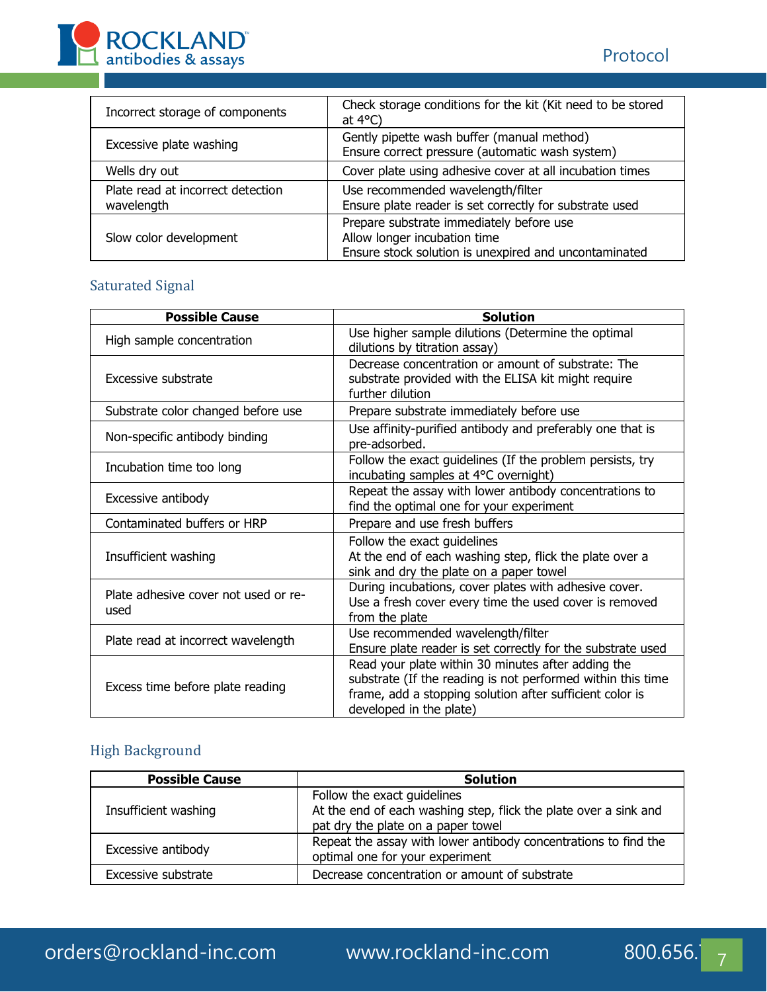

| Incorrect storage of components                 | Check storage conditions for the kit (Kit need to be stored<br>at $4^{\circ}$ C)                                                  |  |  |
|-------------------------------------------------|-----------------------------------------------------------------------------------------------------------------------------------|--|--|
| Excessive plate washing                         | Gently pipette wash buffer (manual method)<br>Ensure correct pressure (automatic wash system)                                     |  |  |
| Wells dry out                                   | Cover plate using adhesive cover at all incubation times                                                                          |  |  |
| Plate read at incorrect detection<br>wavelength | Use recommended wavelength/filter<br>Ensure plate reader is set correctly for substrate used                                      |  |  |
| Slow color development                          | Prepare substrate immediately before use<br>Allow longer incubation time<br>Ensure stock solution is unexpired and uncontaminated |  |  |

# Saturated Signal

| <b>Possible Cause</b>                        | <b>Solution</b>                                                                                                                                                                                          |
|----------------------------------------------|----------------------------------------------------------------------------------------------------------------------------------------------------------------------------------------------------------|
| High sample concentration                    | Use higher sample dilutions (Determine the optimal<br>dilutions by titration assay)                                                                                                                      |
| Excessive substrate                          | Decrease concentration or amount of substrate: The<br>substrate provided with the ELISA kit might require<br>further dilution                                                                            |
| Substrate color changed before use           | Prepare substrate immediately before use                                                                                                                                                                 |
| Non-specific antibody binding                | Use affinity-purified antibody and preferably one that is<br>pre-adsorbed.                                                                                                                               |
| Incubation time too long                     | Follow the exact guidelines (If the problem persists, try<br>incubating samples at 4°C overnight)                                                                                                        |
| Excessive antibody                           | Repeat the assay with lower antibody concentrations to<br>find the optimal one for your experiment                                                                                                       |
| Contaminated buffers or HRP                  | Prepare and use fresh buffers                                                                                                                                                                            |
| Insufficient washing                         | Follow the exact guidelines<br>At the end of each washing step, flick the plate over a<br>sink and dry the plate on a paper towel                                                                        |
| Plate adhesive cover not used or re-<br>used | During incubations, cover plates with adhesive cover.<br>Use a fresh cover every time the used cover is removed<br>from the plate                                                                        |
| Plate read at incorrect wavelength           | Use recommended wavelength/filter<br>Ensure plate reader is set correctly for the substrate used                                                                                                         |
| Excess time before plate reading             | Read your plate within 30 minutes after adding the<br>substrate (If the reading is not performed within this time<br>frame, add a stopping solution after sufficient color is<br>developed in the plate) |

# High Background

| <b>Possible Cause</b> | <b>Solution</b>                                                                                                                       |
|-----------------------|---------------------------------------------------------------------------------------------------------------------------------------|
| Insufficient washing  | Follow the exact quidelines<br>At the end of each washing step, flick the plate over a sink and<br>pat dry the plate on a paper towel |
| Excessive antibody    | Repeat the assay with lower antibody concentrations to find the<br>optimal one for your experiment                                    |
| Excessive substrate   | Decrease concentration or amount of substrate                                                                                         |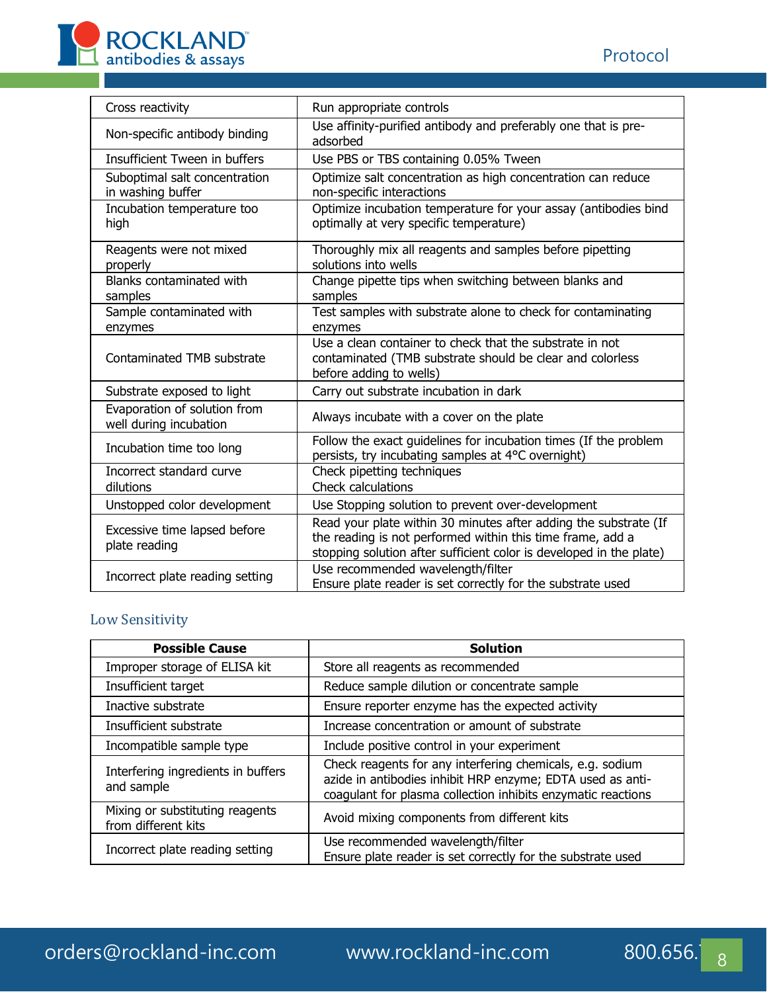

| Cross reactivity                                       | Run appropriate controls                                                                                                                                                                              |
|--------------------------------------------------------|-------------------------------------------------------------------------------------------------------------------------------------------------------------------------------------------------------|
| Non-specific antibody binding                          | Use affinity-purified antibody and preferably one that is pre-<br>adsorbed                                                                                                                            |
| Insufficient Tween in buffers                          | Use PBS or TBS containing 0.05% Tween                                                                                                                                                                 |
| Suboptimal salt concentration<br>in washing buffer     | Optimize salt concentration as high concentration can reduce<br>non-specific interactions                                                                                                             |
| Incubation temperature too<br>high                     | Optimize incubation temperature for your assay (antibodies bind<br>optimally at very specific temperature)                                                                                            |
| Reagents were not mixed<br>properly                    | Thoroughly mix all reagents and samples before pipetting<br>solutions into wells                                                                                                                      |
| Blanks contaminated with<br>samples                    | Change pipette tips when switching between blanks and<br>samples                                                                                                                                      |
| Sample contaminated with<br>enzymes                    | Test samples with substrate alone to check for contaminating<br>enzymes                                                                                                                               |
| Contaminated TMB substrate                             | Use a clean container to check that the substrate in not<br>contaminated (TMB substrate should be clear and colorless<br>before adding to wells)                                                      |
| Substrate exposed to light                             | Carry out substrate incubation in dark                                                                                                                                                                |
| Evaporation of solution from<br>well during incubation | Always incubate with a cover on the plate                                                                                                                                                             |
| Incubation time too long                               | Follow the exact guidelines for incubation times (If the problem<br>persists, try incubating samples at 4°C overnight)                                                                                |
| Incorrect standard curve<br>dilutions                  | Check pipetting techniques<br><b>Check calculations</b>                                                                                                                                               |
| Unstopped color development                            | Use Stopping solution to prevent over-development                                                                                                                                                     |
| Excessive time lapsed before<br>plate reading          | Read your plate within 30 minutes after adding the substrate (If<br>the reading is not performed within this time frame, add a<br>stopping solution after sufficient color is developed in the plate) |
| Incorrect plate reading setting                        | Use recommended wavelength/filter<br>Ensure plate reader is set correctly for the substrate used                                                                                                      |

# Low Sensitivity

| <b>Possible Cause</b>                                  | <b>Solution</b>                                                                                                                                                                         |  |  |
|--------------------------------------------------------|-----------------------------------------------------------------------------------------------------------------------------------------------------------------------------------------|--|--|
| Improper storage of ELISA kit                          | Store all reagents as recommended                                                                                                                                                       |  |  |
| Insufficient target                                    | Reduce sample dilution or concentrate sample                                                                                                                                            |  |  |
| Inactive substrate                                     | Ensure reporter enzyme has the expected activity                                                                                                                                        |  |  |
| Insufficient substrate                                 | Increase concentration or amount of substrate                                                                                                                                           |  |  |
| Incompatible sample type                               | Include positive control in your experiment                                                                                                                                             |  |  |
| Interfering ingredients in buffers<br>and sample       | Check reagents for any interfering chemicals, e.g. sodium<br>azide in antibodies inhibit HRP enzyme; EDTA used as anti-<br>coagulant for plasma collection inhibits enzymatic reactions |  |  |
| Mixing or substituting reagents<br>from different kits | Avoid mixing components from different kits                                                                                                                                             |  |  |
| Incorrect plate reading setting                        | Use recommended wavelength/filter<br>Ensure plate reader is set correctly for the substrate used                                                                                        |  |  |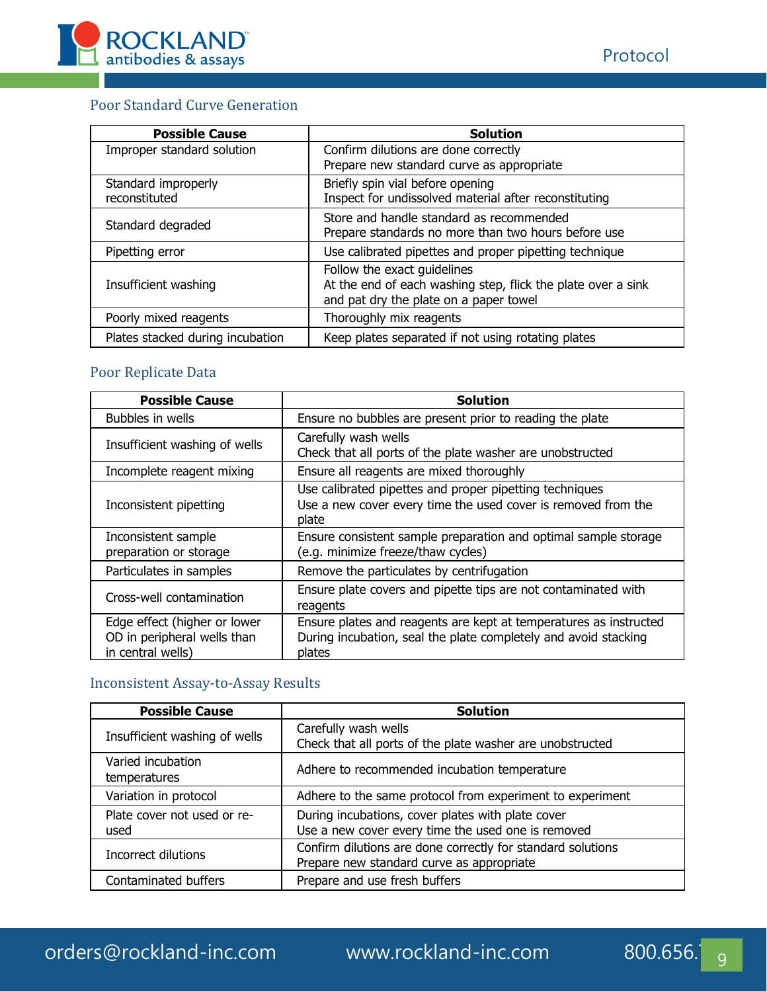

# Poor Standard Curve Generation

| <b>Possible Cause</b>            | <b>Solution</b>                                              |
|----------------------------------|--------------------------------------------------------------|
| Improper standard solution       | Confirm dilutions are done correctly                         |
|                                  | Prepare new standard curve as appropriate                    |
| Standard improperly              | Briefly spin vial before opening                             |
| reconstituted                    | Inspect for undissolved material after reconstituting        |
|                                  | Store and handle standard as recommended                     |
| Standard degraded                | Prepare standards no more than two hours before use          |
| Pipetting error                  | Use calibrated pipettes and proper pipetting technique       |
|                                  | Follow the exact guidelines                                  |
| Insufficient washing             | At the end of each washing step, flick the plate over a sink |
|                                  | and pat dry the plate on a paper towel                       |
| Poorly mixed reagents            | Thoroughly mix reagents                                      |
| Plates stacked during incubation | Keep plates separated if not using rotating plates           |

# Poor Replicate Data

| <b>Possible Cause</b>                                                            | <b>Solution</b>                                                                                                                                |
|----------------------------------------------------------------------------------|------------------------------------------------------------------------------------------------------------------------------------------------|
| Bubbles in wells                                                                 | Ensure no bubbles are present prior to reading the plate                                                                                       |
| Insufficient washing of wells                                                    | Carefully wash wells<br>Check that all ports of the plate washer are unobstructed                                                              |
| Incomplete reagent mixing                                                        | Ensure all reagents are mixed thoroughly                                                                                                       |
| Inconsistent pipetting                                                           | Use calibrated pipettes and proper pipetting techniques<br>Use a new cover every time the used cover is removed from the<br>plate              |
| Inconsistent sample<br>preparation or storage                                    | Ensure consistent sample preparation and optimal sample storage<br>(e.g. minimize freeze/thaw cycles)                                          |
| Particulates in samples                                                          | Remove the particulates by centrifugation                                                                                                      |
| Cross-well contamination                                                         | Ensure plate covers and pipette tips are not contaminated with<br>reagents                                                                     |
| Edge effect (higher or lower<br>OD in peripheral wells than<br>in central wells) | Ensure plates and reagents are kept at temperatures as instructed<br>During incubation, seal the plate completely and avoid stacking<br>plates |

# Inconsistent Assay-to-Assay Results

| <b>Possible Cause</b>               | <b>Solution</b>                                                                                          |  |
|-------------------------------------|----------------------------------------------------------------------------------------------------------|--|
| Insufficient washing of wells       | Carefully wash wells<br>Check that all ports of the plate washer are unobstructed                        |  |
| Varied incubation<br>temperatures   | Adhere to recommended incubation temperature                                                             |  |
| Variation in protocol               | Adhere to the same protocol from experiment to experiment                                                |  |
| Plate cover not used or re-<br>used | During incubations, cover plates with plate cover<br>Use a new cover every time the used one is removed  |  |
| Incorrect dilutions                 | Confirm dilutions are done correctly for standard solutions<br>Prepare new standard curve as appropriate |  |
| Contaminated buffers                | Prepare and use fresh buffers                                                                            |  |